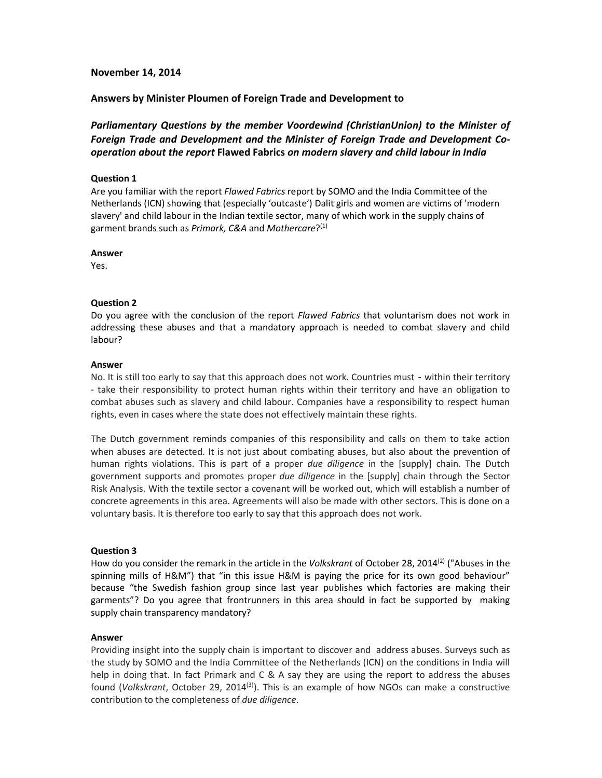## **November 14, 2014**

# **Answers by Minister Ploumen of Foreign Trade and Development to**

*Parliamentary Questions by the member Voordewind (ChristianUnion) to the Minister of Foreign Trade and Development and the Minister of Foreign Trade and Development Cooperation about the report* **Flawed Fabrics** *on modern slavery and child labour in India* 

## **Question 1**

Are you familiar with the report *Flawed Fabrics* report by SOMO and the India Committee of the Netherlands (ICN) showing that (especially 'outcaste') Dalit girls and women are victims of 'modern slavery' and child labour in the Indian textile sector, many of which work in the supply chains of garment brands such as *Primark, C&A* and *Mothercare*? (1)

#### **Answer**

Yes.

## **Question 2**

Do you agree with the conclusion of the report *Flawed Fabrics* that voluntarism does not work in addressing these abuses and that a mandatory approach is needed to combat slavery and child labour?

## **Answer**

No. It is still too early to say that this approach does not work. Countries must - within their territory - take their responsibility to protect human rights within their territory and have an obligation to combat abuses such as slavery and child labour. Companies have a responsibility to respect human rights, even in cases where the state does not effectively maintain these rights.

The Dutch government reminds companies of this responsibility and calls on them to take action when abuses are detected. It is not just about combating abuses, but also about the prevention of human rights violations. This is part of a proper *due diligence* in the [supply] chain. The Dutch government supports and promotes proper *due diligence* in the [supply] chain through the Sector Risk Analysis. With the textile sector a covenant will be worked out, which will establish a number of concrete agreements in this area. Agreements will also be made with other sectors. This is done on a voluntary basis. It is therefore too early to say that this approach does not work.

## **Question 3**

How do you consider the remark in the article in the *Volkskrant* of October 28, 2014(2) ("Abuses in the spinning mills of H&M") that "in this issue H&M is paying the price for its own good behaviour" because "the Swedish fashion group since last year publishes which factories are making their garments"? Do you agree that frontrunners in this area should in fact be supported by making supply chain transparency mandatory?

#### **Answer**

Providing insight into the supply chain is important to discover and address abuses. Surveys such as the study by SOMO and the India Committee of the Netherlands (ICN) on the conditions in India will help in doing that. In fact Primark and C & A say they are using the report to address the abuses found (*Volkskrant*, October 29, 2014(3)). This is an example of how NGOs can make a constructive contribution to the completeness of *due diligence*.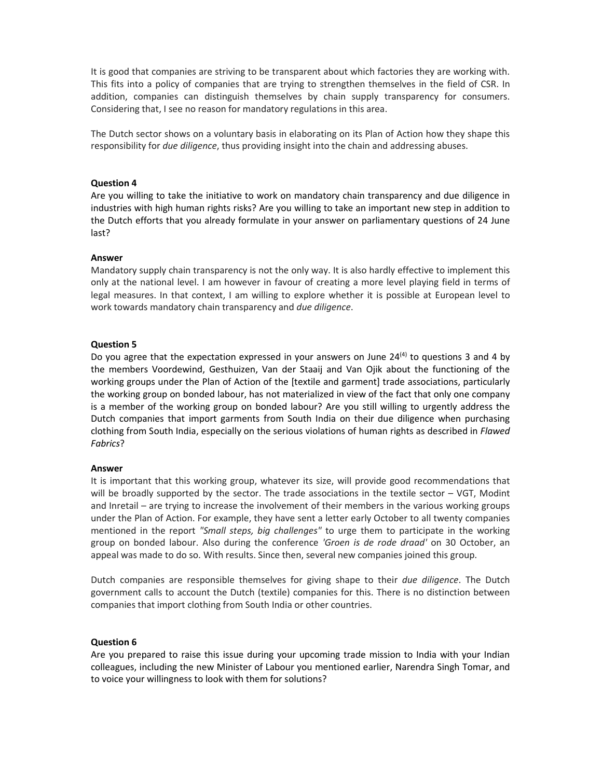It is good that companies are striving to be transparent about which factories they are working with. This fits into a policy of companies that are trying to strengthen themselves in the field of CSR. In addition, companies can distinguish themselves by chain supply transparency for consumers. Considering that, I see no reason for mandatory regulations in this area.

The Dutch sector shows on a voluntary basis in elaborating on its Plan of Action how they shape this responsibility for *due diligence*, thus providing insight into the chain and addressing abuses.

### **Question 4**

Are you willing to take the initiative to work on mandatory chain transparency and due diligence in industries with high human rights risks? Are you willing to take an important new step in addition to the Dutch efforts that you already formulate in your answer on parliamentary questions of 24 June last?

## **Answer**

Mandatory supply chain transparency is not the only way. It is also hardly effective to implement this only at the national level. I am however in favour of creating a more level playing field in terms of legal measures. In that context, I am willing to explore whether it is possible at European level to work towards mandatory chain transparency and *due diligence*.

## **Question 5**

Do you agree that the expectation expressed in your answers on June  $24<sup>(4)</sup>$  to questions 3 and 4 by the members Voordewind, Gesthuizen, Van der Staaij and Van Ojik about the functioning of the working groups under the Plan of Action of the [textile and garment] trade associations, particularly the working group on bonded labour, has not materialized in view of the fact that only one company is a member of the working group on bonded labour? Are you still willing to urgently address the Dutch companies that import garments from South India on their due diligence when purchasing clothing from South India, especially on the serious violations of human rights as described in *Flawed Fabrics*?

#### **Answer**

It is important that this working group, whatever its size, will provide good recommendations that will be broadly supported by the sector. The trade associations in the textile sector – VGT, Modint and Inretail – are trying to increase the involvement of their members in the various working groups under the Plan of Action. For example, they have sent a letter early October to all twenty companies mentioned in the report *"Small steps, big challenges"* to urge them to participate in the working group on bonded labour. Also during the conference *'Groen is de rode draad'* on 30 October, an appeal was made to do so. With results. Since then, several new companies joined this group.

Dutch companies are responsible themselves for giving shape to their *due diligence*. The Dutch government calls to account the Dutch (textile) companies for this. There is no distinction between companies that import clothing from South India or other countries.

#### **Question 6**

Are you prepared to raise this issue during your upcoming trade mission to India with your Indian colleagues, including the new Minister of Labour you mentioned earlier, Narendra Singh Tomar, and to voice your willingness to look with them for solutions?